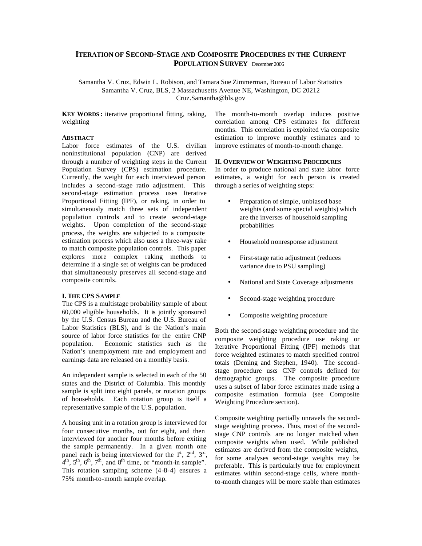# **ITERATION OF SECOND-STAGE AND COMPOSITE PROCEDURES IN THE CURRENT POPULATION SURVEY** December 2006

Samantha V. Cruz, Edwin L. Robison, and Tamara Sue Zimmerman, Bureau of Labor Statistics Samantha V. Cruz, BLS, 2 Massachusetts Avenue NE, Washington, DC 20212 Cruz.Samantha@bls.gov

**KEY WORDS :** iterative proportional fitting, raking, weighting

#### **ABSTRACT**

Labor force estimates of the U.S. civilian noninstitutional population (CNP) are derived through a number of weighting steps in the Current Population Survey (CPS) estimation procedure. Currently, the weight for each interviewed person includes a second-stage ratio adjustment. This second-stage estimation process uses Iterative Proportional Fitting (IPF), or raking, in order to simultaneously match three sets of independent population controls and to create second-stage weights. Upon completion of the second-stage process, the weights are subjected to a composite estimation process which also uses a three-way rake to match composite population controls. This paper explores more complex raking methods to determine if a single set of weights can be produced that simultaneously preserves all second-stage and composite controls.

## **I. THE CPS SAMPLE**

The CPS is a multistage probability sample of about 60,000 eligible households. It is jointly sponsored by the U.S. Census Bureau and the U.S. Bureau of Labor Statistics (BLS), and is the Nation's main source of labor force statistics for the entire CNP population. Economic statistics such as the Nation's unemployment rate and employment and earnings data are released on a monthly basis.

An independent sample is selected in each of the 50 states and the District of Columbia. This monthly sample is split into eight panels, or rotation groups of households. Each rotation group is itself a representative sample of the U.S. population.

A housing unit in a rotation group is interviewed for four consecutive months, out for eight, and then interviewed for another four months before exiting the sample permanently. In a given month one panel each is being interviewed for the  $1<sup>st</sup>$ ,  $2<sup>nd</sup>$ ,  $3<sup>rd</sup>$ ,  $A<sup>th</sup>$ ,  $5<sup>th</sup>$ ,  $6<sup>th</sup>$ ,  $7<sup>th</sup>$ , and  $8<sup>th</sup>$  time, or "month-in sample". This rotation sampling scheme (4-8-4) ensures a 75% month-to-month sample overlap.

The month-to-month overlap induces positive correlation among CPS estimates for different months. This correlation is exploited via composite estimation to improve monthly estimates and to improve estimates of month-to-month change.

#### **II. OVERVIEW OF WEIGHTING PROCEDURES**

In order to produce national and state labor force estimates, a weight for each person is created through a series of weighting steps:

- Preparation of simple, unbiased base weights (and some special weights) which are the inverses of household sampling probabilities
- Household nonresponse adjustment
- First-stage ratio adjustment (reduces variance due to PSU sampling)
- National and State Coverage adjustments
- Second-stage weighting procedure
- Composite weighting procedure

Both the second-stage weighting procedure and the composite weighting procedure use raking or Iterative Proportional Fitting (IPF) methods that force weighted estimates to match specified control totals (Deming and Stephen, 1940). The secondstage procedure uses CNP controls defined for demographic groups. The composite procedure uses a subset of labor force estimates made using a composite estimation formula (see Composite Weighting Procedure section).

Composite weighting partially unravels the secondstage weighting process. Thus, most of the secondstage CNP controls are no longer matched when composite weights when used. While published estimates are derived from the composite weights, for some analyses second-stage weights may be preferable. This is particularly true for employment estimates within second-stage cells, where monthto-month changes will be more stable than estimates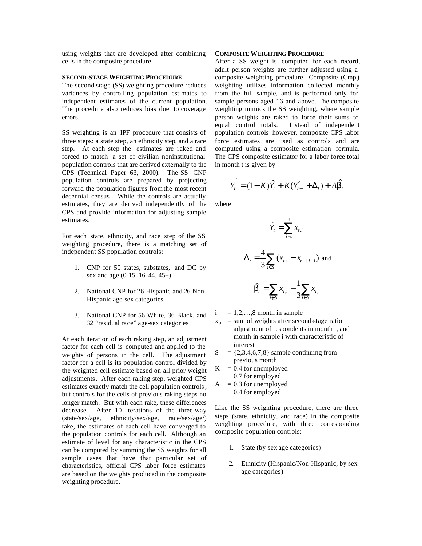using weights that are developed after combining cells in the composite procedure.

## **SECOND-STAGE WEIGHTING PROCEDURE**

The second-stage (SS) weighting procedure reduces variances by controlling population estimates to independent estimates of the current population. The procedure also reduces bias due to coverage errors.

SS weighting is an IPF procedure that consists of three steps: a state step, an ethnicity step, and a race step. At each step the estimates are raked and forced to match a set of civilian noninstitutional population controls that are derived externally to the CPS (Technical Paper 63, 2000). The SS CNP population controls are prepared by projecting forward the population figures from the most recent decennial census. While the controls are actually estimates, they are derived independently of the CPS and provide information for adjusting sample estimates.

For each state, ethnicity, and race step of the SS weighting procedure, there is a matching set of independent SS population controls:

- 1. CNP for 50 states, substates, and DC by sex and age (0-15, 16-44, 45+)
- 2. National CNP for 26 Hispanic and 26 Non-Hispanic age-sex categories
- 3. National CNP for 56 White, 36 Black, and 32 "residual race" age-sex categories.

At each iteration of each raking step, an adjustment factor for each cell is computed and applied to the weights of persons in the cell. The adjustment factor for a cell is its population control divided by the weighted cell estimate based on all prior weight adjustments. After each raking step, weighted CPS estimates exactly match the cell population controls, but controls for the cells of previous raking steps no longer match. But with each rake, these differences decrease. After 10 iterations of the three-way (state/sex/age, ethnicity/sex/age, race/sex/age/) rake, the estimates of each cell have converged to the population controls for each cell. Although an estimate of level for any characteristic in the CPS can be computed by summing the SS weights for all sample cases that have that particular set of characteristics, official CPS labor force estimates are based on the weights produced in the composite weighting procedure.

## **COMPOSITE WEIGHTING PROCEDURE**

After a SS weight is computed for each record, adult person weights are further adjusted using a composite weighting procedure. Composite (Cmp ) weighting utilizes information collected monthly from the full sample, and is performed only for sample persons aged 16 and above. The composite weighting mimics the SS weighting, where sample person weights are raked to force their sums to equal control totals. Instead of independent population controls however, composite CPS labor force estimates are used as controls and are computed using a composite estimation formula. The CPS composite estimator for a labor force total in month t is given by

$$
Y_t^{'} = (1 - K)\hat{Y}_t + K(Y_{t-1}^{\prime} + \Delta_t) + A\hat{b}_t
$$

where

$$
\hat{Y}_t = \sum_{i=1}^8 x_{t,i}
$$
\n
$$
\Delta_t = \frac{4}{3} \sum_{i \in S} (x_{t,i} - x_{t-1,i-1})
$$
 and

$$
\hat{\boldsymbol{b}}_t = \sum_{i \notin S} x_{t,i} - \frac{1}{3} \sum_{i \in S} x_{t,i}
$$

- $i = 1,2,...,8$  month in sample
- $x_{t,i}$  = sum of weights after second-stage ratio adjustment of respondents in month t, and month-in-sample i with characteristic of interest
- $S = \{2,3,4,6,7,8\}$  sample continuing from previous month
- $K = 0.4$  for unemployed 0.7 for employed
- $A = 0.3$  for unemployed 0.4 for employed

Like the SS weighting procedure, there are three steps (state, ethnicity, and race) in the composite weighting procedure, with three corresponding composite population controls:

- 1. State (by sex-age categories)
- 2. Ethnicity (Hispanic/Non-Hispanic, by sexage categories)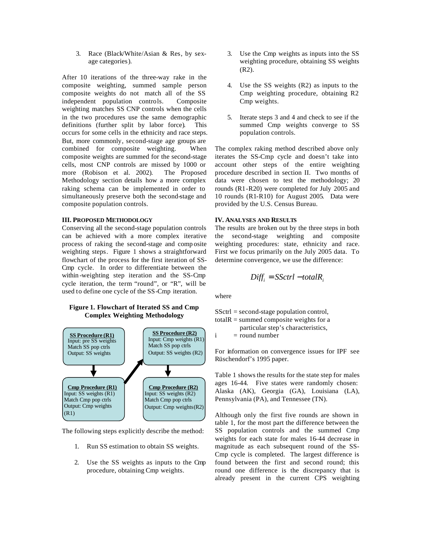3. Race (Black/White/Asian & Res, by sexage categories).

After 10 iterations of the three-way rake in the composite weighting, summed sample person composite weights do not match all of the SS independent population controls. Composite weighting matches SS CNP controls when the cells in the two procedures use the same demographic definitions (further split by labor force). This occurs for some cells in the ethnicity and race steps. But, more commonly, second-stage age groups are combined for composite weighting. When composite weights are summed for the second-stage cells, most CNP controls are missed by 1000 or more (Robison et al. 2002). The Proposed Methodology section details how a more complex raking schema can be implemented in order to simultaneously preserve both the second-stage and composite population controls.

#### **III. PROPOSED METHODOLOGY**

Conserving all the second-stage population controls can be achieved with a more complex iterative process of raking the second-stage and comp osite weighting steps. Figure 1 shows a straightforward flowchart of the process for the first iteration of SS-Cmp cycle. In order to differentiate between the within -weighting step iteration and the SS-Cmp cycle iteration, the term "round", or "R", will be used to define one cycle of the SS-Cmp iteration.

#### **Figure 1. Flowchart of Iterated SS and Cmp Complex Weighting Methodology**



The following steps explicitly describe the method:

- 1. Run SS estimation to obtain SS weights.
- 2. Use the SS weights as inputs to the Cmp procedure, obtaining Cmp weights.
- 3. Use the Cmp weights as inputs into the SS weighting procedure, obtaining SS weights (R2).
- 4. Use the SS weights (R2) as inputs to the Cmp weighting procedure, obtaining R2 Cmp weights.
- 5. Iterate steps 3 and 4 and check to see if the summed Cmp weights converge to SS population controls.

The complex raking method described above only iterates the SS-Cmp cycle and doesn't take into account other steps of the entire weighting procedure described in section II. Two months of data were chosen to test the methodology; 20 rounds (R1-R20) were completed for July 2005 and 10 rounds (R1-R10) for August 2005. Data were provided by the U.S. Census Bureau.

#### **IV. ANALYSES AND RESULTS**

The results are broken out by the three steps in both the second-stage weighting and composite weighting procedures: state, ethnicity and race. First we focus primarily on the July 2005 data. To determine convergence, we use the difference:

$$
Diff_i = SSctrl - totalR_i
$$

where

SSctrl = second-stage population control, total $R =$ summed composite weights for a particular step's characteristics,

 $i =$  round number

For information on convergence issues for IPF see Rüschendorf's 1995 paper.

Table 1 shows the results for the state step for males ages 16-44. Five states were randomly chosen: Alaska (AK), Georgia (GA), Louisiana (LA), Pennsylvania (PA), and Tennessee (TN).

Although only the first five rounds are shown in table 1, for the most part the difference between the SS population controls and the summed Cmp weights for each state for males 16-44 decrease in magnitude as each subsequent round of the SS-Cmp cycle is completed. The largest difference is found between the first and second round; this round one difference is the discrepancy that is already present in the current CPS weighting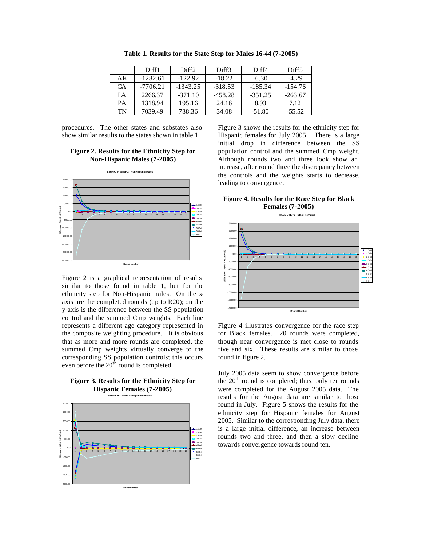|    | Diff1      | Diff <sub>2</sub> | Diff3     | Diff4     | Diff <sub>5</sub> |
|----|------------|-------------------|-----------|-----------|-------------------|
| AΚ | $-1282.61$ | $-122.92$         | $-18.22$  | $-6.30$   | $-4.29$           |
| GА | $-7706.21$ | $-1343.25$        | $-318.53$ | $-185.34$ | $-154.76$         |
| LA | 2266.37    | $-371.10$         | $-458.28$ | $-351.25$ | $-263.67$         |
| PA | 1318.94    | 195.16            | 24.16     | 8.93      | 7.12              |
| TN | 7039.49    | 738.36            | 34.08     | $-51.80$  | $-55.52$          |

**Table 1. Results for the State Step for Males 16-44 (7-2005)**

procedures. The other states and substates also show similar results to the states shown in table 1.

## **Figure 2. Results for the Ethnicity Step for Non-Hispanic Males (7-2005)**



Figure 2 is a graphical representation of results similar to those found in table 1, but for the ethnicity step for Non-Hispanic males. On the xaxis are the completed rounds (up to R20); on the y-axis is the difference between the SS population control and the summed Cmp weights. Each line represents a different age category represented in the composite weighting procedure. It is obvious that as more and more rounds are completed, the summed Cmp weights virtually converge to the corresponding SS population controls; this occurs even before the  $20<sup>th</sup>$  round is completed.



**ETHNICITY STEP 2 - Hispanic Females**



Figure 3 shows the results for the ethnicity step for Hispanic females for July 2005. There is a large initial drop in difference between the SS population control and the summed Cmp weight. Although rounds two and three look show an increase, after round three the discrepancy between the controls and the weights starts to decrease, leading to convergence.

## **Figure 4. Results for the Race Step for Black Females (7-2005)**

**RACE STEP 3 - Black Females**



Figure 4 illustrates convergence for the race step for Black females. 20 rounds were completed, though near convergence is met close to rounds five and six. These results are similar to those found in figure 2.

July 2005 data seem to show convergence before the  $20<sup>th</sup>$  round is completed; thus, only ten rounds were completed for the August 2005 data. The results for the August data are similar to those found in July. Figure 5 shows the results for the ethnicity step for Hispanic females for August 2005. Similar to the corresponding July data, there is a large initial difference, an increase between rounds two and three, and then a slow decline towards convergence towards round ten.